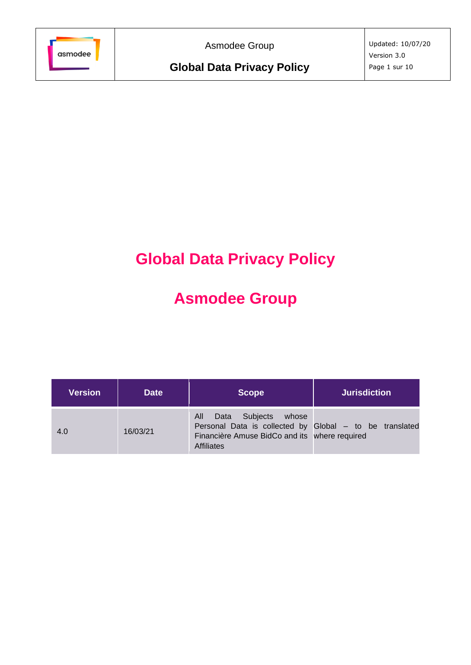

Asmodee Group

# **Global Data Privacy Policy**

# **Asmodee Group**

| <b>Version</b> | <b>Date</b> | <b>Scope</b>                                                                                                                                                      | <b>Jurisdiction</b> |
|----------------|-------------|-------------------------------------------------------------------------------------------------------------------------------------------------------------------|---------------------|
| 4.0            | 16/03/21    | Subjects<br>Data<br>whose<br>All<br>Personal Data is collected by Global - to be translated<br>Financière Amuse BidCo and its where required<br><b>Affiliates</b> |                     |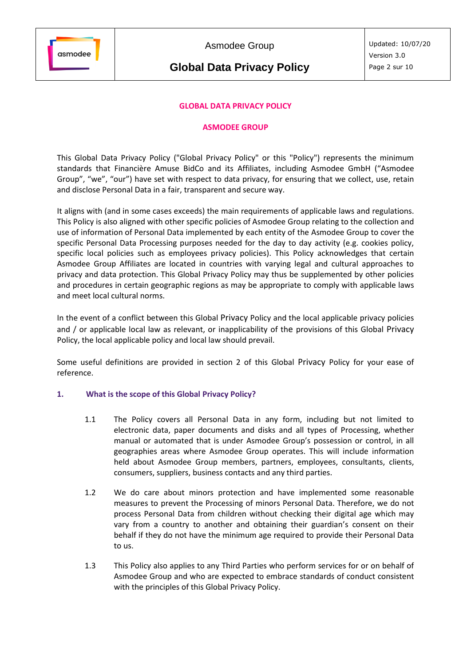

Asmodee Group

# **Global Data Privacy Policy**

# **GLOBAL DATA PRIVACY POLICY**

#### **ASMODEE GROUP**

This Global Data Privacy Policy ("Global Privacy Policy" or this "Policy") represents the minimum standards that Financière Amuse BidCo and its Affiliates, including Asmodee GmbH ("Asmodee Group", "we", "our") have set with respect to data privacy, for ensuring that we collect, use, retain and disclose Personal Data in a fair, transparent and secure way.

It aligns with (and in some cases exceeds) the main requirements of applicable laws and regulations. This Policy is also aligned with other specific policies of Asmodee Group relating to the collection and use of information of Personal Data implemented by each entity of the Asmodee Group to cover the specific Personal Data Processing purposes needed for the day to day activity (e.g. cookies policy, specific local policies such as employees privacy policies). This Policy acknowledges that certain Asmodee Group Affiliates are located in countries with varying legal and cultural approaches to privacy and data protection. This Global Privacy Policy may thus be supplemented by other policies and procedures in certain geographic regions as may be appropriate to comply with applicable laws and meet local cultural norms.

In the event of a conflict between this Global Privacy Policy and the local applicable privacy policies and / or applicable local law as relevant, or inapplicability of the provisions of this Global Privacy Policy, the local applicable policy and local law should prevail.

Some useful definitions are provided in section 2 of this Global Privacy Policy for your ease of reference.

# **1. What is the scope of this Global Privacy Policy?**

- 1.1 The Policy covers all Personal Data in any form, including but not limited to electronic data, paper documents and disks and all types of Processing, whether manual or automated that is under Asmodee Group's possession or control, in all geographies areas where Asmodee Group operates. This will include information held about Asmodee Group members, partners, employees, consultants, clients, consumers, suppliers, business contacts and any third parties.
- 1.2 We do care about minors protection and have implemented some reasonable measures to prevent the Processing of minors Personal Data. Therefore, we do not process Personal Data from children without checking their digital age which may vary from a country to another and obtaining their guardian's consent on their behalf if they do not have the minimum age required to provide their Personal Data to us.
- 1.3 This Policy also applies to any Third Parties who perform services for or on behalf of Asmodee Group and who are expected to embrace standards of conduct consistent with the principles of this Global Privacy Policy.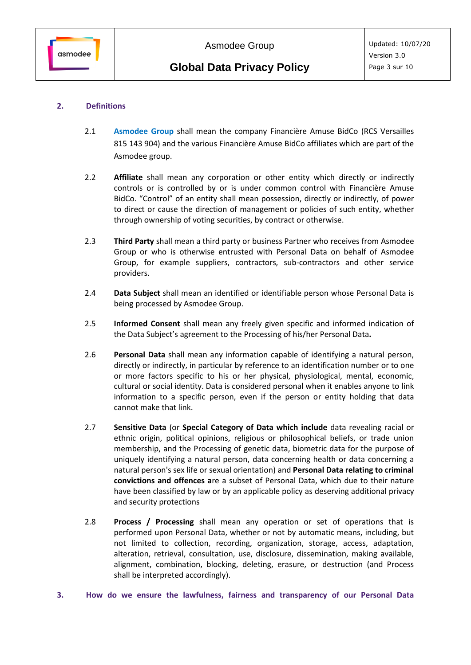# **2. Definitions**

- 2.1 **[Asmodee](https://cdn.svc.asmodee.net/corporate/uploads/Templates/Asmodee_group_companies_EN.pdf) Group** shall mean the company Financière Amuse BidCo (RCS Versailles 815 143 904) and the various Financière Amuse BidCo affiliates which are part of the Asmodee group.
- 2.2 **Affiliate** shall mean any corporation or other entity which directly or indirectly controls or is controlled by or is under common control with Financière Amuse BidCo. "Control" of an entity shall mean possession, directly or indirectly, of power to direct or cause the direction of management or policies of such entity, whether through ownership of voting securities, by contract or otherwise.
- 2.3 **Third Party** shall mean a third party or business Partner who receives from Asmodee Group or who is otherwise entrusted with Personal Data on behalf of Asmodee Group, for example suppliers, contractors, sub-contractors and other service providers.
- 2.4 **Data Subject** shall mean an identified or identifiable person whose Personal Data is being processed by Asmodee Group.
- 2.5 **Informed Consent** shall mean any freely given specific and informed indication of the Data Subject's agreement to the Processing of his/her Personal Data**.**
- 2.6 **Personal Data** shall mean any information capable of identifying a natural person, directly or indirectly, in particular by reference to an identification number or to one or more factors specific to his or her physical, physiological, mental, economic, cultural or social identity. Data is considered personal when it enables anyone to link information to a specific person, even if the person or entity holding that data cannot make that link.
- 2.7 **Sensitive Data** (or **Special Category of Data which include** data revealing racial or ethnic origin, political opinions, religious or philosophical beliefs, or trade union membership, and the Processing of genetic data, biometric data for the purpose of uniquely identifying a natural person, data concerning health or data concerning a natural person's sex life or sexual orientation) and **Personal Data relating to criminal convictions and offences a**re a subset of Personal Data, which due to their nature have been classified by law or by an applicable policy as deserving additional privacy and security protections
- 2.8 **Process / Processing** shall mean any operation or set of operations that is performed upon Personal Data, whether or not by automatic means, including, but not limited to collection, recording, organization, storage, access, adaptation, alteration, retrieval, consultation, use, disclosure, dissemination, making available, alignment, combination, blocking, deleting, erasure, or destruction (and Process shall be interpreted accordingly).
- **3. How do we ensure the lawfulness, fairness and transparency of our Personal Data**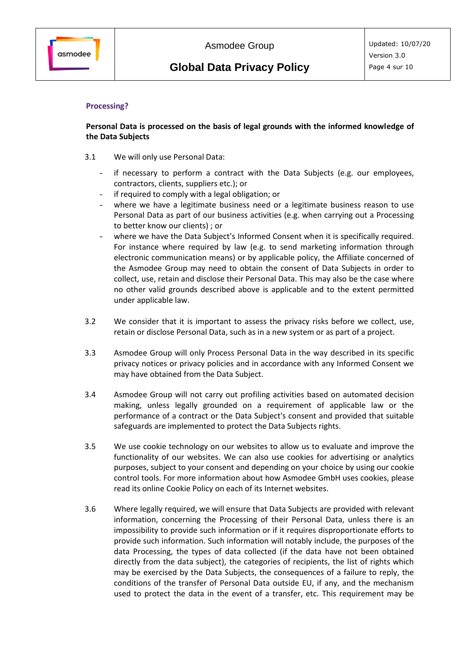### **Processing?**

### **Personal Data is processed on the basis of legal grounds with the informed knowledge of the Data Subjects**

- 3.1 We will only use Personal Data:
	- if necessary to perform a contract with the Data Subjects (e.g. our employees, contractors, clients, suppliers etc.); or
	- if required to comply with a legal obligation; or
	- where we have a legitimate business need or a legitimate business reason to use Personal Data as part of our business activities (e.g. when carrying out a Processing to better know our clients) ; or
	- where we have the Data Subject's Informed Consent when it is specifically required. For instance where required by law (e.g. to send marketing information through electronic communication means) or by applicable policy, the Affiliate concerned of the Asmodee Group may need to obtain the consent of Data Subjects in order to collect, use, retain and disclose their Personal Data. This may also be the case where no other valid grounds described above is applicable and to the extent permitted under applicable law.
- 3.2 We consider that it is important to assess the privacy risks before we collect, use, retain or disclose Personal Data, such as in a new system or as part of a project.
- 3.3 Asmodee Group will only Process Personal Data in the way described in its specific privacy notices or privacy policies and in accordance with any Informed Consent we may have obtained from the Data Subject.
- 3.4 Asmodee Group will not carry out profiling activities based on automated decision making, unless legally grounded on a requirement of applicable law or the performance of a contract or the Data Subject's consent and provided that suitable safeguards are implemented to protect the Data Subjects rights.
- 3.5 We use cookie technology on our websites to allow us to evaluate and improve the functionality of our websites. We can also use cookies for advertising or analytics purposes, subject to your consent and depending on your choice by using our cookie control tools. For more information about how Asmodee GmbH uses cookies, please read its online Cookie Policy on each of its Internet websites.
- 3.6 Where legally required, we will ensure that Data Subjects are provided with relevant information, concerning the Processing of their Personal Data, unless there is an impossibility to provide such information or if it requires disproportionate efforts to provide such information. Such information will notably include, the purposes of the data Processing, the types of data collected (if the data have not been obtained directly from the data subject), the categories of recipients, the list of rights which may be exercised by the Data Subjects, the consequences of a failure to reply, the conditions of the transfer of Personal Data outside EU, if any, and the mechanism used to protect the data in the event of a transfer, etc. This requirement may be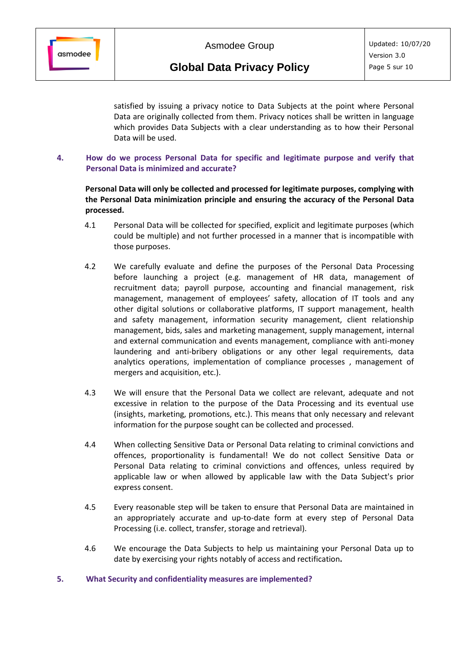

satisfied by issuing a privacy notice to Data Subjects at the point where Personal Data are originally collected from them. Privacy notices shall be written in language which provides Data Subjects with a clear understanding as to how their Personal Data will be used.

**4. How do we process Personal Data for specific and legitimate purpose and verify that Personal Data is minimized and accurate?**

**Personal Data will only be collected and processed for legitimate purposes, complying with the Personal Data minimization principle and ensuring the accuracy of the Personal Data processed.**

- 4.1 Personal Data will be collected for specified, explicit and legitimate purposes (which could be multiple) and not further processed in a manner that is incompatible with those purposes.
- 4.2 We carefully evaluate and define the purposes of the Personal Data Processing before launching a project (e.g. management of HR data, management of recruitment data; payroll purpose, accounting and financial management, risk management, management of employees' safety, allocation of IT tools and any other digital solutions or collaborative platforms, IT support management, health and safety management, information security management, client relationship management, bids, sales and marketing management, supply management, internal and external communication and events management, compliance with anti-money laundering and anti-bribery obligations or any other legal requirements, data analytics operations, implementation of compliance processes , management of mergers and acquisition, etc.).
- 4.3 We will ensure that the Personal Data we collect are relevant, adequate and not excessive in relation to the purpose of the Data Processing and its eventual use (insights, marketing, promotions, etc.). This means that only necessary and relevant information for the purpose sought can be collected and processed.
- 4.4 When collecting Sensitive Data or Personal Data relating to criminal convictions and offences, proportionality is fundamental! We do not collect Sensitive Data or Personal Data relating to criminal convictions and offences, unless required by applicable law or when allowed by applicable law with the Data Subject's prior express consent.
- 4.5 Every reasonable step will be taken to ensure that Personal Data are maintained in an appropriately accurate and up-to-date form at every step of Personal Data Processing (i.e. collect, transfer, storage and retrieval).
- 4.6 We encourage the Data Subjects to help us maintaining your Personal Data up to date by exercising your rights notably of access and rectification**.**

#### **5. What Security and confidentiality measures are implemented?**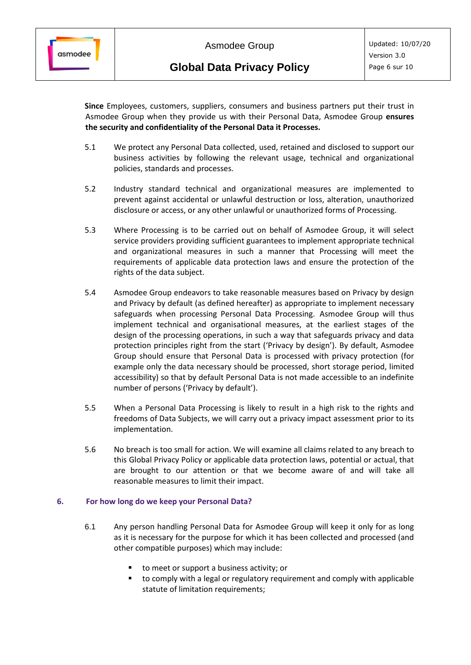**Since** Employees, customers, suppliers, consumers and business partners put their trust in Asmodee Group when they provide us with their Personal Data, Asmodee Group **ensures the security and confidentiality of the Personal Data it Processes.**

- 5.1 We protect any Personal Data collected, used, retained and disclosed to support our business activities by following the relevant usage, technical and organizational policies, standards and processes.
- 5.2 Industry standard technical and organizational measures are implemented to prevent against accidental or unlawful destruction or loss, alteration, unauthorized disclosure or access, or any other unlawful or unauthorized forms of Processing.
- 5.3 Where Processing is to be carried out on behalf of Asmodee Group, it will select service providers providing sufficient guarantees to implement appropriate technical and organizational measures in such a manner that Processing will meet the requirements of applicable data protection laws and ensure the protection of the rights of the data subject.
- 5.4 Asmodee Group endeavors to take reasonable measures based on Privacy by design and Privacy by default (as defined hereafter) as appropriate to implement necessary safeguards when processing Personal Data Processing. Asmodee Group will thus implement technical and organisational measures, at the earliest stages of the design of the processing operations, in such a way that safeguards privacy and data protection principles right from the start ('Privacy by design'). By default, Asmodee Group should ensure that Personal Data is processed with privacy protection (for example only the data necessary should be processed, short storage period, limited accessibility) so that by default Personal Data is not made accessible to an indefinite number of persons ('Privacy by default').
- 5.5 When a Personal Data Processing is likely to result in a high risk to the rights and freedoms of Data Subjects, we will carry out a privacy impact assessment prior to its implementation.
- 5.6 No breach is too small for action. We will examine all claims related to any breach to this Global Privacy Policy or applicable data protection laws, potential or actual, that are brought to our attention or that we become aware of and will take all reasonable measures to limit their impact.

# **6. For how long do we keep your Personal Data?**

- 6.1 Any person handling Personal Data for Asmodee Group will keep it only for as long as it is necessary for the purpose for which it has been collected and processed (and other compatible purposes) which may include:
	- to meet or support a business activity; or
	- to comply with a legal or regulatory requirement and comply with applicable statute of limitation requirements;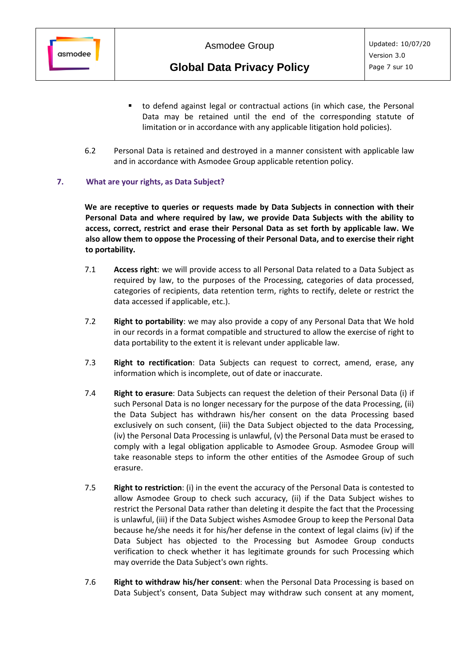

- to defend against legal or contractual actions (in which case, the Personal Data may be retained until the end of the corresponding statute of limitation or in accordance with any applicable litigation hold policies).
- 6.2 Personal Data is retained and destroyed in a manner consistent with applicable law and in accordance with Asmodee Group applicable retention policy.

#### **7. What are your rights, as Data Subject?**

**We are receptive to queries or requests made by Data Subjects in connection with their Personal Data and where required by law, we provide Data Subjects with the ability to access, correct, restrict and erase their Personal Data as set forth by applicable law. We also allow them to oppose the Processing of their Personal Data, and to exercise their right to portability.**

- 7.1 **Access right**: we will provide access to all Personal Data related to a Data Subject as required by law, to the purposes of the Processing, categories of data processed, categories of recipients, data retention term, rights to rectify, delete or restrict the data accessed if applicable, etc.).
- 7.2 **Right to portability**: we may also provide a copy of any Personal Data that We hold in our records in a format compatible and structured to allow the exercise of right to data portability to the extent it is relevant under applicable law.
- 7.3 **Right to rectification**: Data Subjects can request to correct, amend, erase, any information which is incomplete, out of date or inaccurate.
- 7.4 **Right to erasure**: Data Subjects can request the deletion of their Personal Data (i) if such Personal Data is no longer necessary for the purpose of the data Processing, (ii) the Data Subject has withdrawn his/her consent on the data Processing based exclusively on such consent, (iii) the Data Subject objected to the data Processing, (iv) the Personal Data Processing is unlawful, (v) the Personal Data must be erased to comply with a legal obligation applicable to Asmodee Group. Asmodee Group will take reasonable steps to inform the other entities of the Asmodee Group of such erasure.
- 7.5 **Right to restriction**: (i) in the event the accuracy of the Personal Data is contested to allow Asmodee Group to check such accuracy, (ii) if the Data Subject wishes to restrict the Personal Data rather than deleting it despite the fact that the Processing is unlawful, (iii) if the Data Subject wishes Asmodee Group to keep the Personal Data because he/she needs it for his/her defense in the context of legal claims (iv) if the Data Subject has objected to the Processing but Asmodee Group conducts verification to check whether it has legitimate grounds for such Processing which may override the Data Subject's own rights.
- 7.6 **Right to withdraw his/her consent**: when the Personal Data Processing is based on Data Subject's consent, Data Subject may withdraw such consent at any moment,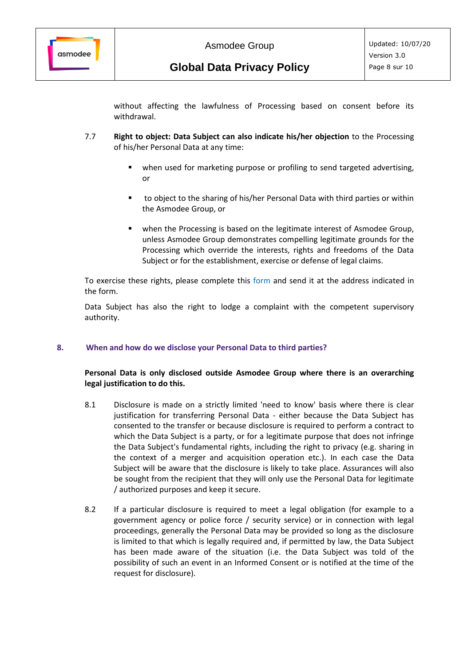

without affecting the lawfulness of Processing based on consent before its withdrawal.

- 7.7 **Right to object: Data Subject can also indicate his/her objection** to the Processing of his/her Personal Data at any time:
	- when used for marketing purpose or profiling to send targeted advertising, or
	- to object to the sharing of his/her Personal Data with third parties or within the Asmodee Group, or
	- when the Processing is based on the legitimate interest of Asmodee Group, unless Asmodee Group demonstrates compelling legitimate grounds for the Processing which override the interests, rights and freedoms of the Data Subject or for the establishment, exercise or defense of legal claims.

To exercise these rights, please complete this [form](https://archiv.asmodee.de/files/Form-for-request-claim-relating-to-personal-data.pdf) and send it at the address indicated in the form.

Data Subject has also the right to lodge a complaint with the competent supervisory authority.

#### **8. When and how do we disclose your Personal Data to third parties?**

#### **Personal Data is only disclosed outside Asmodee Group where there is an overarching legal justification to do this.**

- 8.1 Disclosure is made on a strictly limited 'need to know' basis where there is clear justification for transferring Personal Data - either because the Data Subject has consented to the transfer or because disclosure is required to perform a contract to which the Data Subject is a party, or for a legitimate purpose that does not infringe the Data Subject's fundamental rights, including the right to privacy (e.g. sharing in the context of a merger and acquisition operation etc.). In each case the Data Subject will be aware that the disclosure is likely to take place. Assurances will also be sought from the recipient that they will only use the Personal Data for legitimate / authorized purposes and keep it secure.
- 8.2 If a particular disclosure is required to meet a legal obligation (for example to a government agency or police force / security service) or in connection with legal proceedings, generally the Personal Data may be provided so long as the disclosure is limited to that which is legally required and, if permitted by law, the Data Subject has been made aware of the situation (i.e. the Data Subject was told of the possibility of such an event in an Informed Consent or is notified at the time of the request for disclosure).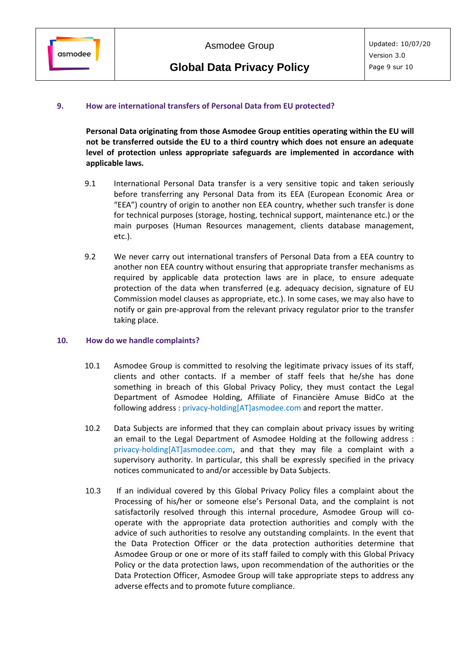# **9. How are international transfers of Personal Data from EU protected?**

**Personal Data originating from those Asmodee Group entities operating within the EU will not be transferred outside the EU to a third country which does not ensure an adequate level of protection unless appropriate safeguards are implemented in accordance with applicable laws.** 

- 9.1 International Personal Data transfer is a very sensitive topic and taken seriously before transferring any Personal Data from its EEA (European Economic Area or "EEA") country of origin to another non EEA country, whether such transfer is done for technical purposes (storage, hosting, technical support, maintenance etc.) or the main purposes (Human Resources management, clients database management, etc.).
- 9.2 We never carry out international transfers of Personal Data from a EEA country to another non EEA country without ensuring that appropriate transfer mechanisms as required by applicable data protection laws are in place, to ensure adequate protection of the data when transferred (e.g. adequacy decision, signature of EU Commission model clauses as appropriate, etc.). In some cases, we may also have to notify or gain pre-approval from the relevant privacy regulator prior to the transfer taking place.

# **10. How do we handle complaints?**

- 10.1 Asmodee Group is committed to resolving the legitimate privacy issues of its staff, clients and other contacts. If a member of staff feels that he/she has done something in breach of this Global Privacy Policy, they must contact the Legal Department of Asmodee Holding, Affiliate of Financière Amuse BidCo at the following address [: privacy-holding\[AT\]asmodee.com](mailto:privacy-holding@asmodee.com) and report the matter.
- 10.2 Data Subjects are informed that they can complain about privacy issues by writing an email to the Legal Department of Asmodee Holding at the following address : [privacy-holding\[AT\]asmodee.com,](mailto:privacy-holding@asmodee.com) and that they may file a complaint with a supervisory authority. In particular, this shall be expressly specified in the privacy notices communicated to and/or accessible by Data Subjects.
- 10.3 If an individual covered by this Global Privacy Policy files a complaint about the Processing of his/her or someone else's Personal Data, and the complaint is not satisfactorily resolved through this internal procedure, Asmodee Group will cooperate with the appropriate data protection authorities and comply with the advice of such authorities to resolve any outstanding complaints. In the event that the Data Protection Officer or the data protection authorities determine that Asmodee Group or one or more of its staff failed to comply with this Global Privacy Policy or the data protection laws, upon recommendation of the authorities or the Data Protection Officer, Asmodee Group will take appropriate steps to address any adverse effects and to promote future compliance.